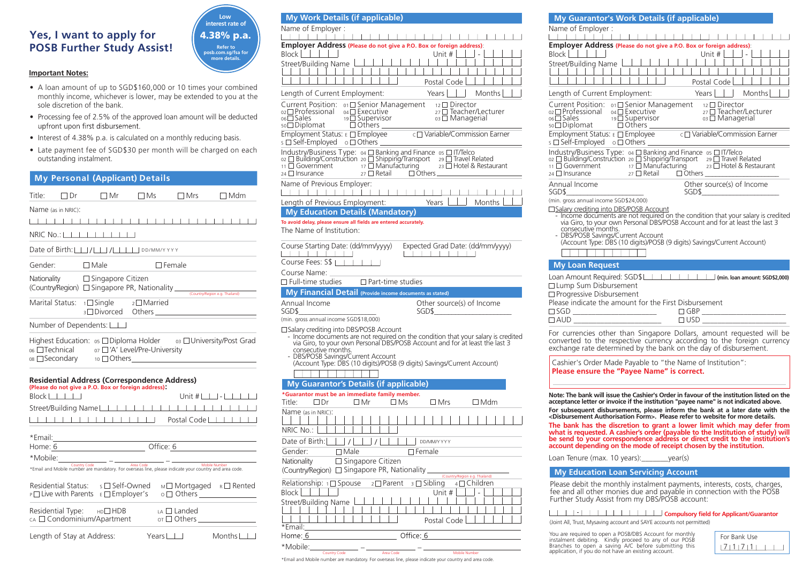# **Yes, I want to apply for POSB Further Study Assist!**



# **Important Notes:**

- A loan amount of up to SGD\$160,000 or 10 times your combined monthly income, whichever is lower, may be extended to you at the sole discretion of the bank.
- Processing fee of 2.5% of the approved loan amount will be deducted
- Interest of 4.38% p.a. is calculated on a monthly reducing basis.
- Late payment fee of SGD\$30 per month will be charged on each outstanding instalment.

| My Personal (Applicant) Details                                                                                                                                                                                    |
|--------------------------------------------------------------------------------------------------------------------------------------------------------------------------------------------------------------------|
| Title:<br>$\Box$ Dr<br>$\Box$ Mr<br>$\Box$ Ms<br>$\Box$ Mrs<br>$\Box$ Mdm                                                                                                                                          |
| Name (as in NRIC):                                                                                                                                                                                                 |
|                                                                                                                                                                                                                    |
|                                                                                                                                                                                                                    |
| Date of Birth: $\Box$ / $\Box$ / $\Box$ / $\Box$                                                                                                                                                                   |
| $\Box$ Male<br>Gender:<br>$\Box$ Female                                                                                                                                                                            |
| Nationality $\Box$ Singapore Citizen<br><b>Theory Marine Company Control of Singapore PR, Nationality</b> Country Region e.g. Thailand)                                                                            |
| 1□ Single 2□ Married<br>Marital Status:                                                                                                                                                                            |
| Number of Dependents: $\Box$                                                                                                                                                                                       |
| Highest Education: 05 □ Diploma Holder o3 □ University/Post Grad<br>os □ Technical or □ 'A' Level/Pre-University                                                                                                   |
| <b>Residential Address (Correspondence Address)</b><br>(Please do not give a P.O. Box or foreign address).<br>$Block$ $  $ $  $ $  $<br>Unit $\#$ $\Box$ $\Box$ $\Box$ $\Box$                                      |
| Street/Building Name                                                                                                                                                                                               |
| <b>TELECTER LETTER IN Postal Code</b>                                                                                                                                                                              |
|                                                                                                                                                                                                                    |
| Home: 6 Office: 6                                                                                                                                                                                                  |
|                                                                                                                                                                                                                    |
|                                                                                                                                                                                                                    |
| Residential Status:<br>$s \sqcap$ Self-Owned<br>M□ Mortgaged R□ Rented<br>P□ Live with Parents<br>$\circ$ $\Box$ Others $\frac{1}{\Box}$ Others $\frac{1}{\Box}$ Others $\frac{1}{\Box}$<br>$E \square$ Employer's |
| Residential Type:<br>$HDD$ HDB<br>$LA \Box$ Landed<br>cA □ Condominium/Apartment<br>$\circ$ $\Box$ Others $\Box$                                                                                                   |

Length of Stay at Address: Years III Months

| <b>My Work Details (if applicable)</b>                                                                                                                                       |                                                                                                                                                                                                                                             |
|------------------------------------------------------------------------------------------------------------------------------------------------------------------------------|---------------------------------------------------------------------------------------------------------------------------------------------------------------------------------------------------------------------------------------------|
| Name of Employer:                                                                                                                                                            |                                                                                                                                                                                                                                             |
|                                                                                                                                                                              |                                                                                                                                                                                                                                             |
|                                                                                                                                                                              | Employer Address (Please do not give a P.O. Box or foreign address):                                                                                                                                                                        |
| <b>Block</b>                                                                                                                                                                 | Unit #                                                                                                                                                                                                                                      |
| Street/Building Name                                                                                                                                                         |                                                                                                                                                                                                                                             |
|                                                                                                                                                                              |                                                                                                                                                                                                                                             |
|                                                                                                                                                                              | Postal Code                                                                                                                                                                                                                                 |
| Length of Current Employment:                                                                                                                                                | Months<br>Years                                                                                                                                                                                                                             |
| Current Position: 01□ Senior Management<br>$_{02}$ $\Box$ Professional<br>04□ Executive<br>$06 \square$ Sales<br>19□ Supervisor<br><sub>50</sub> □ Diplomat<br>$\Box$ Others | $_{12}$ Director<br>27 □ Teacher/Lecturer<br>$03 \Box$ Managerial                                                                                                                                                                           |
| Employment Status: E □ Employee<br>s □ Self-Employed o □ Others                                                                                                              | c□ Variable/Commission Earner                                                                                                                                                                                                               |
| $_{11}$ $\Box$ Government<br>24 □ Insurance                                                                                                                                  | Industry/Business Type: 04 □ Banking and Finance 05 □ IT/Telco<br>oz □ Building/Construction 20 □ Shipping/Transport 29 □ Travel Related<br>17 Manufacturing<br>23 □ Hotel & Restaurant<br>$27 \square$ Retail<br>$\Box$ Others             |
| Name of Previous Employer:                                                                                                                                                   |                                                                                                                                                                                                                                             |
|                                                                                                                                                                              |                                                                                                                                                                                                                                             |
| Length of Previous Employment:                                                                                                                                               | Months<br>Years                                                                                                                                                                                                                             |
| <b>My Education Details (Mandatory)</b>                                                                                                                                      |                                                                                                                                                                                                                                             |
| To avoid delay, please ensure all fields are entered accurately.                                                                                                             |                                                                                                                                                                                                                                             |
| The Name of Institution:                                                                                                                                                     |                                                                                                                                                                                                                                             |
| Course Starting Date: (dd/mm/yyyy)<br>Course Fees: S\$                                                                                                                       | Expected Grad Date: (dd/mm/yyyy)                                                                                                                                                                                                            |
| Course Name:<br>$\Box$ Full-time studies                                                                                                                                     | $\Box$ Part-time studies                                                                                                                                                                                                                    |
|                                                                                                                                                                              |                                                                                                                                                                                                                                             |
| <b>My Financial Detail</b> (Provide income documents as stated)                                                                                                              |                                                                                                                                                                                                                                             |
| Annual Income<br>SGD\$                                                                                                                                                       | Other source(s) of Income<br>SGD\$                                                                                                                                                                                                          |
| (min. gross annual income SGD\$18,000)                                                                                                                                       |                                                                                                                                                                                                                                             |
| □ Salary crediting into DBS/POSB Account<br>consecutive months.<br>- DBS/POSB Savings/Current Account                                                                        | - Income documents are not required on the condition that your salary is credited<br>via Giro, to your own Personal DBS/POSB Account and for at least the last 3<br>(Account Type: DBS (10 digits)/POSB (9 digits) Savings/Current Account) |

### \_\_\_\_\_\_\_\_\_\_\_\_\_\_\_\_\_ **My Guarantor's Details (if applicable) \*Guarantor must be an immediate family member.**  $\Box$  Title:  $\Box$  Dr  $\Box$  Mrs  $\Box$  Mrs  $\Box$  Mdm Name (as in NRIC):<br>| | | | | | |  $\Box$  $11111$  $\Box$  $\Box$ NRIC No.: | | Date of Birth: $\Box$ / $\Box$ / $\Box$ / $\Box$ / DD/MM/YYYY Gender: <del>■</del> Male ■ ■ Female **Nationality** □ Singapore Citizen (Country/Region) Singapore PR, Nationality (Country/Region e.g. Thailand)Relationship:  $1 \square$  Spouse  $2 \square$  Parent  $3 \square$  Sibling  $4 \square$  Children<br>Block  $\square$  $Block$   $||$   $||$   $||$ Street/Building Name Postal Code \*Email: Office: 6 Home: 6 \*Mobile: $\frac{1}{\frac{1}{\frac{1}{\frac{1}{\sqrt{1}}}}\frac{1}{\frac{1}{\sqrt{1}}}}$  -  $\frac{1}{\frac{1}{\sqrt{1}}\frac{1}{\sqrt{1}}}}$  -  $\frac{1}{\frac{1}{\sqrt{1}}\frac{1}{\sqrt{1}}\frac{1}{\sqrt{1}}}}$  -  $\frac{1}{\sqrt{1-\frac{1}{\sqrt{1}}}}$  -  $\frac{1}{\sqrt{1-\frac{1}{\sqrt{1}}}}$  -  $\frac{1}{\sqrt{1-\frac{1}{\sqrt{1}}}}$  -  $\frac{1}{\sqrt{1-\frac{1}{\sqrt{1$ \*Email and Mobile number are mandatory. For overseas line, please indicate your country and area code.

| 1 1 1 1 1<br>Employer Address (Please do not give a P.O. Box or foreign address):<br>Unit # $\Box$<br>Postal Code l<br>Length of Current Employment:<br>Years $\lfloor$<br>Months<br>$\begin{array}{llllll} \text{Current Position:} & \begin{smallmatrix} \circ_1 \ \Box \end{smallmatrix} \end{array} \begin{array}{llll} \text{Current Position:} & \begin{smallmatrix} \circ_1 \ \Box \end{smallmatrix} \end{array} \begin{array}{llllll} \text{Neacutive} & \begin{smallmatrix} \circ_2 \ \Box \end{smallmatrix} \end{array} \begin{array}{llllllll} \begin{array}{llllllll} \begin{array}{llllllll} \text{order/Lec} & \begin{smallmatrix} \circ_2 \ \Box \end{smallmatrix} \end{array} \begin{array}{llllllllll} \begin{array}{llllllllll} \text{sequence} & \begin{smallmatrix}$<br>27 □ Teacher/Lecturer<br>Employment Status: E C Employee<br>Employment Status: E C Employee<br>S C Self-Employed  o C Others<br>$\begin{array}{l} \text{Industry/Business Type:} \quad \text{or} \quad \Box \text{ Banking and Finance} \quad \text{or} \quad \Box \text{ IT/Telec} \\ \text{or} \quad \Box \text{ Building/Construction} \quad \text{or} \quad \Box \text{ Shipping/Transport} \quad \text{or} \quad \Box \text{ Travel Related} \\ \text{or} \quad \Box \text{ Government} \quad \text{or} \quad \Box \text{ Manuel} \\ \text{or} \quad \Box \text{Manutacturing} \quad \text{or} \quad \Box \text{ Hotel & \text{Restaurant}} \end{array}$<br>$_{27}$ $\Box$ Retail<br>Other source(s) of Income<br>SGD\$<br>SGD\$<br>(min. gross annual income SGD\$24,000)<br>- Income documents are not required on the condition that your salary is credited<br>via Giro, to your own Personal DBS/POSB Account and for at least the last 3<br>consecutive months.<br>- DBS/POSB Savings/Current Account<br>(Account Type: DBS (10 digits)/POSB (9 digits) Savings/Current Account)<br><b>My Loan Request</b> | My Guarantor's Work Details (if applicable)                                                                                                                                                                                                                                                                                                                                                                                                                                                                                                                                         |
|-------------------------------------------------------------------------------------------------------------------------------------------------------------------------------------------------------------------------------------------------------------------------------------------------------------------------------------------------------------------------------------------------------------------------------------------------------------------------------------------------------------------------------------------------------------------------------------------------------------------------------------------------------------------------------------------------------------------------------------------------------------------------------------------------------------------------------------------------------------------------------------------------------------------------------------------------------------------------------------------------------------------------------------------------------------------------------------------------------------------------------------------------------------------------------------------------------------------------------------------------------------------------------------------------------------------------------------------------------------------------------------------------------------------------------------------------------------------------------------------------------------------------------------------------------------------------------------------------------------------------------------------------------------------------------------------------------------------------------------------------------------------------------------------------------------------------------------------------------------------------------------------------------------------|-------------------------------------------------------------------------------------------------------------------------------------------------------------------------------------------------------------------------------------------------------------------------------------------------------------------------------------------------------------------------------------------------------------------------------------------------------------------------------------------------------------------------------------------------------------------------------------|
|                                                                                                                                                                                                                                                                                                                                                                                                                                                                                                                                                                                                                                                                                                                                                                                                                                                                                                                                                                                                                                                                                                                                                                                                                                                                                                                                                                                                                                                                                                                                                                                                                                                                                                                                                                                                                                                                                                                   | Name of Employer:                                                                                                                                                                                                                                                                                                                                                                                                                                                                                                                                                                   |
|                                                                                                                                                                                                                                                                                                                                                                                                                                                                                                                                                                                                                                                                                                                                                                                                                                                                                                                                                                                                                                                                                                                                                                                                                                                                                                                                                                                                                                                                                                                                                                                                                                                                                                                                                                                                                                                                                                                   | $Block$ $  $<br>Street/Building Name                                                                                                                                                                                                                                                                                                                                                                                                                                                                                                                                                |
|                                                                                                                                                                                                                                                                                                                                                                                                                                                                                                                                                                                                                                                                                                                                                                                                                                                                                                                                                                                                                                                                                                                                                                                                                                                                                                                                                                                                                                                                                                                                                                                                                                                                                                                                                                                                                                                                                                                   |                                                                                                                                                                                                                                                                                                                                                                                                                                                                                                                                                                                     |
|                                                                                                                                                                                                                                                                                                                                                                                                                                                                                                                                                                                                                                                                                                                                                                                                                                                                                                                                                                                                                                                                                                                                                                                                                                                                                                                                                                                                                                                                                                                                                                                                                                                                                                                                                                                                                                                                                                                   |                                                                                                                                                                                                                                                                                                                                                                                                                                                                                                                                                                                     |
|                                                                                                                                                                                                                                                                                                                                                                                                                                                                                                                                                                                                                                                                                                                                                                                                                                                                                                                                                                                                                                                                                                                                                                                                                                                                                                                                                                                                                                                                                                                                                                                                                                                                                                                                                                                                                                                                                                                   | $_{24}$ $\Box$ Insurance                                                                                                                                                                                                                                                                                                                                                                                                                                                                                                                                                            |
|                                                                                                                                                                                                                                                                                                                                                                                                                                                                                                                                                                                                                                                                                                                                                                                                                                                                                                                                                                                                                                                                                                                                                                                                                                                                                                                                                                                                                                                                                                                                                                                                                                                                                                                                                                                                                                                                                                                   | Annual Income                                                                                                                                                                                                                                                                                                                                                                                                                                                                                                                                                                       |
|                                                                                                                                                                                                                                                                                                                                                                                                                                                                                                                                                                                                                                                                                                                                                                                                                                                                                                                                                                                                                                                                                                                                                                                                                                                                                                                                                                                                                                                                                                                                                                                                                                                                                                                                                                                                                                                                                                                   | □ Salary crediting into DBS/POSB Account                                                                                                                                                                                                                                                                                                                                                                                                                                                                                                                                            |
|                                                                                                                                                                                                                                                                                                                                                                                                                                                                                                                                                                                                                                                                                                                                                                                                                                                                                                                                                                                                                                                                                                                                                                                                                                                                                                                                                                                                                                                                                                                                                                                                                                                                                                                                                                                                                                                                                                                   |                                                                                                                                                                                                                                                                                                                                                                                                                                                                                                                                                                                     |
|                                                                                                                                                                                                                                                                                                                                                                                                                                                                                                                                                                                                                                                                                                                                                                                                                                                                                                                                                                                                                                                                                                                                                                                                                                                                                                                                                                                                                                                                                                                                                                                                                                                                                                                                                                                                                                                                                                                   | □ Lump Sum Disbursement<br>□ Progressive Disbursement<br>Please indicate the amount for the First Disbursement<br>$\begin{tabular}{c} \hline \rule{0pt}{3ex} \text{0.12cm} \end{tabular} \begin{tabular}{c} \text{0.12cm} \end{tabular} \begin{tabular}{c} \text{0.13cm} \end{tabular} \begin{tabular}{c} \text{0.14cm} \end{tabular} \begin{tabular}{c} \text{0.15cm} \end{tabular} \begin{tabular}{c} \text{0.16cm} \end{tabular} \begin{tabular}{c} \text{0.16cm} \end{tabular} \begin{tabular}{c} \text{0.16cm} \end{tabular} \begin{tabular}{c} \text{0.16cm} \end{tabular} \$ |

For currencies other than Singapore Dollars, amount requested will be converted to the respective currency according to the foreign currency exchange rate determined by the bank on the day of disbursement.

Cashier's Order Made Payable to "the Name of Institution": **Please ensure the "Payee Name" is correct.**

**Note: The bank will issue the Cashier's Order in favour of the institution listed on the acceptance letter or invoice if the institution "payee name" is not indicated above. For subsequent disbursements, please inform the bank at a later date with the <Disbursement Authorisation Form>. Please refer to website for more details.** 

The bank has the discretion to grant a lower limit which may defer from what is requested. A cashier's order (payable to the Institution of study) will be send to your correspondence address or direct credit to the institu account depending on the mode of receipt chosen by the institution.

Loan Tenure (max. 10 years):\_\_\_\_\_\_\_year(s)

# **My Education Loan Servicing Account**

Please debit the monthly instalment payments, interests, costs, charges, fee and all other monies due and payable in connection with the POSB Further Study Assist from my DBS/POSB account:

# **Compulsory field for Applicant/Guarantor**

(Joint All, Trust, Mysaving account and SAYE accounts not permitted)

You are required to open a POSB/DBS Account for monthly instalment debiting. Kindly proceed to any of our POSB Branches to open a saving A/C before submitting this application, if you do not have an existing account.